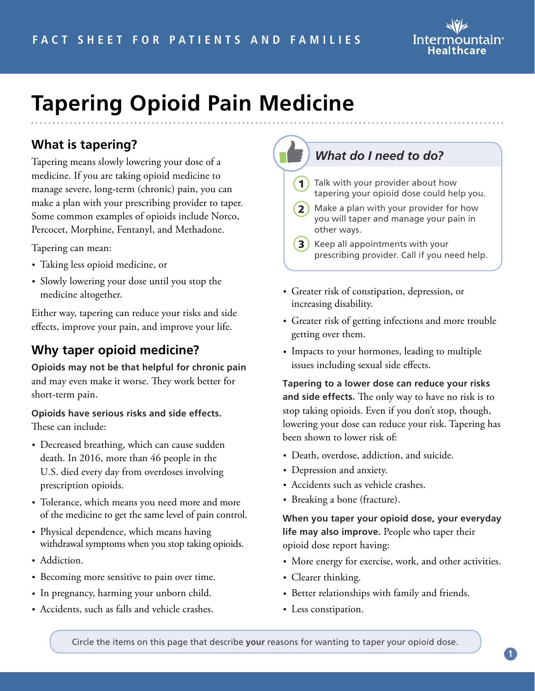

# **Tapering Opioid Pain Medicine**

## **What is tapering?**

Tapering means slowly lowering your dose of a medicine. If you are taking opioid medicine to manage severe, long-term (chronic) pain, you can make a plan with your prescribing provider to taper. Some common examples of opioids include Norco, Percocet, Morphine, Fentanyl, and Methadone.

Tapering can mean:

- Taking less opioid medicine, or
- Slowly lowering your dose until you stop the medicine altogether.

Either way, tapering can reduce your risks and side effects, improve your pain, and improve your life.

### **Why taper opioid medicine?**

**Opioids may not be that helpful for chronic pain**  and may even make it worse. They work better for short-term pain.

**Opioids have serious risks and side effects.** These can include:

- Decreased breathing, which can cause sudden death. In 2016, more than 46 people in the U.S. died every day from overdoses involving prescription opioids.
- Tolerance, which means you need more and more of the medicine to get the same level of pain control.
- Physical dependence, which means having withdrawal symptoms when you stop taking opioids.
- Addiction.
- Becoming more sensitive to pain over time.
- In pregnancy, harming your unborn child.
- Accidents, such as falls and vehicle crashes.

# *What do I need to do?*

- **1** Talk with your provider about how tapering your opioid dose could help you.
- **2** Make a plan with your provider for how you will taper and manage your pain in other ways.
- **3** Keep all appointments with your prescribing provider. Call if you need help.
- Greater risk of constipation, depression, or increasing disability.
- Greater risk of getting infections and more trouble getting over them.
- Impacts to your hormones, leading to multiple issues including sexual side effects.

**Tapering to a lower dose can reduce your risks and side effects.** The only way to have no risk is to stop taking opioids. Even if you don't stop, though, lowering your dose can reduce your risk. Tapering has been shown to lower risk of:

- Death, overdose, addiction, and suicide.
- Depression and anxiety.
- Accidents such as vehicle crashes.
- Breaking a bone (fracture).

#### **When you taper your opioid dose, your everyday life may also improve.** People who taper their opioid dose report having:

- More energy for exercise, work, and other activities.
- Clearer thinking.
- Better relationships with family and friends.
- Less constipation.

Circle the items on this page that describe **your** reasons for wanting to taper your opioid dose.